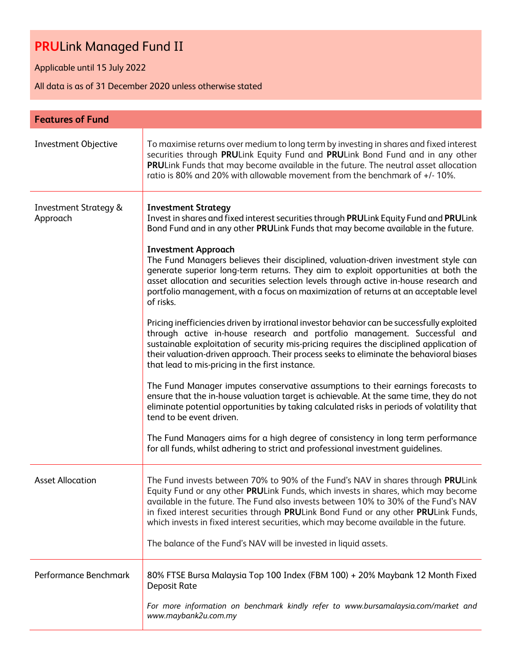Applicable until 15 July 2022

All data is as of 31 December 2020 unless otherwise stated

| <b>Features of Fund</b>                      |                                                                                                                                                                                                                                                                                                                                                                                                                                                                                                                                                                                                                                                                                                                                                                                                                                                                                                                                                                                                                                                                                                                                                                                                                                                                                                                                                                                                                                                                                                                          |
|----------------------------------------------|--------------------------------------------------------------------------------------------------------------------------------------------------------------------------------------------------------------------------------------------------------------------------------------------------------------------------------------------------------------------------------------------------------------------------------------------------------------------------------------------------------------------------------------------------------------------------------------------------------------------------------------------------------------------------------------------------------------------------------------------------------------------------------------------------------------------------------------------------------------------------------------------------------------------------------------------------------------------------------------------------------------------------------------------------------------------------------------------------------------------------------------------------------------------------------------------------------------------------------------------------------------------------------------------------------------------------------------------------------------------------------------------------------------------------------------------------------------------------------------------------------------------------|
| <b>Investment Objective</b>                  | To maximise returns over medium to long term by investing in shares and fixed interest<br>securities through PRULink Equity Fund and PRULink Bond Fund and in any other<br>PRULink Funds that may become available in the future. The neutral asset allocation<br>ratio is 80% and 20% with allowable movement from the benchmark of +/-10%.                                                                                                                                                                                                                                                                                                                                                                                                                                                                                                                                                                                                                                                                                                                                                                                                                                                                                                                                                                                                                                                                                                                                                                             |
| <b>Investment Strategy &amp;</b><br>Approach | <b>Investment Strategy</b><br>Invest in shares and fixed interest securities through PRULink Equity Fund and PRULink<br>Bond Fund and in any other PRULink Funds that may become available in the future.<br><b>Investment Approach</b><br>The Fund Managers believes their disciplined, valuation-driven investment style can<br>generate superior long-term returns. They aim to exploit opportunities at both the<br>asset allocation and securities selection levels through active in-house research and<br>portfolio management, with a focus on maximization of returns at an acceptable level<br>of risks.<br>Pricing inefficiencies driven by irrational investor behavior can be successfully exploited<br>through active in-house research and portfolio management. Successful and<br>sustainable exploitation of security mis-pricing requires the disciplined application of<br>their valuation-driven approach. Their process seeks to eliminate the behavioral biases<br>that lead to mis-pricing in the first instance.<br>The Fund Manager imputes conservative assumptions to their earnings forecasts to<br>ensure that the in-house valuation target is achievable. At the same time, they do not<br>eliminate potential opportunities by taking calculated risks in periods of volatility that<br>tend to be event driven.<br>The Fund Managers aims for a high degree of consistency in long term performance<br>for all funds, whilst adhering to strict and professional investment guidelines. |
| <b>Asset Allocation</b>                      | The Fund invests between 70% to 90% of the Fund's NAV in shares through PRULink<br>Equity Fund or any other PRULink Funds, which invests in shares, which may become<br>available in the future. The Fund also invests between 10% to 30% of the Fund's NAV<br>in fixed interest securities through PRULink Bond Fund or any other PRULink Funds,<br>which invests in fixed interest securities, which may become available in the future.<br>The balance of the Fund's NAV will be invested in liquid assets.                                                                                                                                                                                                                                                                                                                                                                                                                                                                                                                                                                                                                                                                                                                                                                                                                                                                                                                                                                                                           |
| Performance Benchmark                        | 80% FTSE Bursa Malaysia Top 100 Index (FBM 100) + 20% Maybank 12 Month Fixed<br><b>Deposit Rate</b><br>For more information on benchmark kindly refer to www.bursamalaysia.com/market and<br>www.maybank2u.com.my                                                                                                                                                                                                                                                                                                                                                                                                                                                                                                                                                                                                                                                                                                                                                                                                                                                                                                                                                                                                                                                                                                                                                                                                                                                                                                        |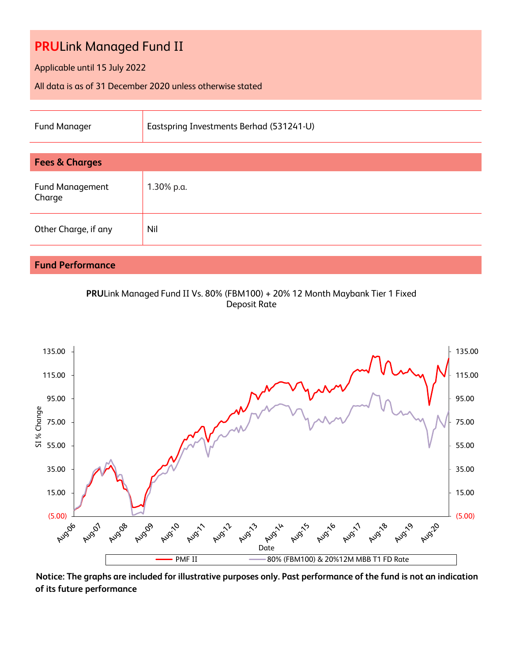Applicable until 15 July 2022

All data is as of 31 December 2020 unless otherwise stated

| <b>Fund Manager</b>              | Eastspring Investments Berhad (531241-U) |  |  |  |  |  |
|----------------------------------|------------------------------------------|--|--|--|--|--|
|                                  |                                          |  |  |  |  |  |
| <b>Fees &amp; Charges</b>        |                                          |  |  |  |  |  |
| <b>Fund Management</b><br>Charge | 1.30% p.a.                               |  |  |  |  |  |
| Other Charge, if any             | Nil                                      |  |  |  |  |  |
|                                  |                                          |  |  |  |  |  |

## **Fund Performance**

**PRU**Link Managed Fund II Vs. 80% (FBM100) + 20% 12 Month Maybank Tier 1 Fixed Deposit Rate



**Notice: The graphs are included for illustrative purposes only. Past performance of the fund is not an indication of its future performance**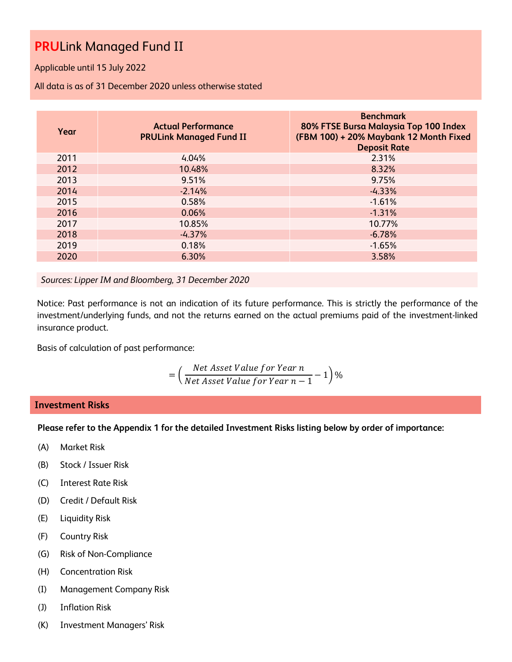Applicable until 15 July 2022

All data is as of 31 December 2020 unless otherwise stated

| Year | <b>Actual Performance</b><br><b>PRULink Managed Fund II</b> | <b>Benchmark</b><br>80% FTSE Bursa Malaysia Top 100 Index<br>(FBM 100) + 20% Maybank 12 Month Fixed<br><b>Deposit Rate</b> |
|------|-------------------------------------------------------------|----------------------------------------------------------------------------------------------------------------------------|
| 2011 | 4.04%                                                       | 2.31%                                                                                                                      |
| 2012 | 10.48%                                                      | 8.32%                                                                                                                      |
| 2013 | 9.51%                                                       | 9.75%                                                                                                                      |
| 2014 | $-2.14%$                                                    | $-4.33%$                                                                                                                   |
| 2015 | 0.58%                                                       | $-1.61%$                                                                                                                   |
| 2016 | 0.06%                                                       | $-1.31%$                                                                                                                   |
| 2017 | 10.85%                                                      | 10.77%                                                                                                                     |
| 2018 | $-4.37%$                                                    | $-6.78%$                                                                                                                   |
| 2019 | 0.18%                                                       | $-1.65%$                                                                                                                   |
| 2020 | 6.30%                                                       | 3.58%                                                                                                                      |

*Sources: Lipper IM and Bloomberg, 31 December 2020*

Notice: Past performance is not an indication of its future performance. This is strictly the performance of the investment/underlying funds, and not the returns earned on the actual premiums paid of the investment-linked insurance product.

Basis of calculation of past performance:

$$
= \left(\frac{Net\ Asset\ Value\ for\ Year\ n}{Net\ Asset\ Value\ for\ Year\ n-1} - 1\right)\%
$$

### **Investment Risks**

**Please refer to the Appendix 1 for the detailed Investment Risks listing below by order of importance:**

- (A) Market Risk
- (B) Stock / Issuer Risk
- (C) Interest Rate Risk
- (D) Credit / Default Risk
- (E) Liquidity Risk
- (F) Country Risk
- (G) Risk of Non-Compliance
- (H) Concentration Risk
- (I) Management Company Risk
- (J) Inflation Risk
- (K) Investment Managers' Risk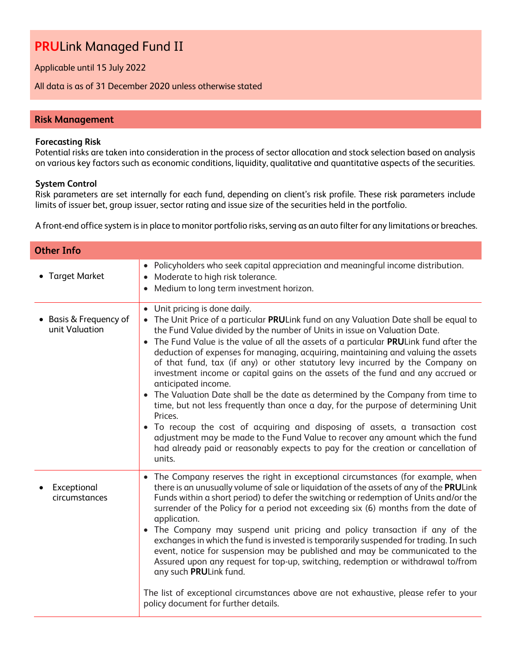Applicable until 15 July 2022

All data is as of 31 December 2020 unless otherwise stated

### **Risk Management**

#### **Forecasting Risk**

Potential risks are taken into consideration in the process of sector allocation and stock selection based on analysis on various key factors such as economic conditions, liquidity, qualitative and quantitative aspects of the securities.

#### **System Control**

Risk parameters are set internally for each fund, depending on client's risk profile. These risk parameters include limits of issuer bet, group issuer, sector rating and issue size of the securities held in the portfolio.

A front-end office system is in place to monitor portfolio risks, serving as an auto filter for any limitations or breaches.

| <b>Other Info</b>                        |                                                                                                                                                                                                                                                                                                                                                                                                                                                                                                                                                                                                                                                                                                                                                                                                                                                                                                                                                                                                                               |
|------------------------------------------|-------------------------------------------------------------------------------------------------------------------------------------------------------------------------------------------------------------------------------------------------------------------------------------------------------------------------------------------------------------------------------------------------------------------------------------------------------------------------------------------------------------------------------------------------------------------------------------------------------------------------------------------------------------------------------------------------------------------------------------------------------------------------------------------------------------------------------------------------------------------------------------------------------------------------------------------------------------------------------------------------------------------------------|
| • Target Market                          | Policyholders who seek capital appreciation and meaningful income distribution.<br>Moderate to high risk tolerance.<br>Medium to long term investment horizon.                                                                                                                                                                                                                                                                                                                                                                                                                                                                                                                                                                                                                                                                                                                                                                                                                                                                |
| • Basis & Frequency of<br>unit Valuation | • Unit pricing is done daily.<br>The Unit Price of a particular PRULink fund on any Valuation Date shall be equal to<br>the Fund Value divided by the number of Units in issue on Valuation Date.<br>The Fund Value is the value of all the assets of a particular PRULink fund after the<br>deduction of expenses for managing, acquiring, maintaining and valuing the assets<br>of that fund, tax (if any) or other statutory levy incurred by the Company on<br>investment income or capital gains on the assets of the fund and any accrued or<br>anticipated income.<br>• The Valuation Date shall be the date as determined by the Company from time to<br>time, but not less frequently than once a day, for the purpose of determining Unit<br>Prices.<br>To recoup the cost of acquiring and disposing of assets, a transaction cost<br>adjustment may be made to the Fund Value to recover any amount which the fund<br>had already paid or reasonably expects to pay for the creation or cancellation of<br>units. |
| Exceptional<br>circumstances             | • The Company reserves the right in exceptional circumstances (for example, when<br>there is an unusually volume of sale or liquidation of the assets of any of the PRULink<br>Funds within a short period) to defer the switching or redemption of Units and/or the<br>surrender of the Policy for a period not exceeding six (6) months from the date of<br>application.<br>• The Company may suspend unit pricing and policy transaction if any of the<br>exchanges in which the fund is invested is temporarily suspended for trading. In such<br>event, notice for suspension may be published and may be communicated to the<br>Assured upon any request for top-up, switching, redemption or withdrawal to/from<br>any such PRULink fund.<br>The list of exceptional circumstances above are not exhaustive, please refer to your<br>policy document for further details.                                                                                                                                              |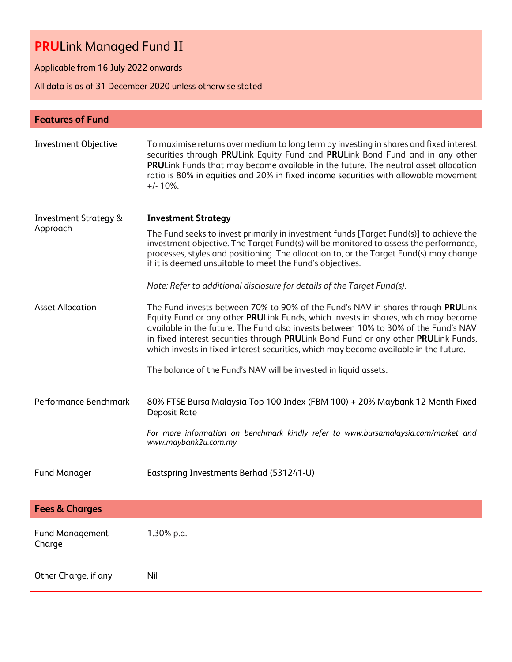Applicable from 16 July 2022 onwards

All data is as of 31 December 2020 unless otherwise stated

| <b>Features of Fund</b>                      |                                                                                                                                                                                                                                                                                                                                                                                                                                                                                                                |
|----------------------------------------------|----------------------------------------------------------------------------------------------------------------------------------------------------------------------------------------------------------------------------------------------------------------------------------------------------------------------------------------------------------------------------------------------------------------------------------------------------------------------------------------------------------------|
| <b>Investment Objective</b>                  | To maximise returns over medium to long term by investing in shares and fixed interest<br>securities through PRULink Equity Fund and PRULink Bond Fund and in any other<br>PRULink Funds that may become available in the future. The neutral asset allocation<br>ratio is 80% in equities and 20% in fixed income securities with allowable movement<br>$+/- 10\%$ .                                                                                                                                          |
| <b>Investment Strategy &amp;</b><br>Approach | <b>Investment Strategy</b><br>The Fund seeks to invest primarily in investment funds [Target Fund(s)] to achieve the<br>investment objective. The Target Fund(s) will be monitored to assess the performance,<br>processes, styles and positioning. The allocation to, or the Target Fund(s) may change<br>if it is deemed unsuitable to meet the Fund's objectives.<br>Note: Refer to additional disclosure for details of the Target Fund(s).                                                                |
| <b>Asset Allocation</b>                      | The Fund invests between 70% to 90% of the Fund's NAV in shares through PRULink<br>Equity Fund or any other PRULink Funds, which invests in shares, which may become<br>available in the future. The Fund also invests between 10% to 30% of the Fund's NAV<br>in fixed interest securities through PRULink Bond Fund or any other PRULink Funds,<br>which invests in fixed interest securities, which may become available in the future.<br>The balance of the Fund's NAV will be invested in liquid assets. |
| Performance Benchmark                        | 80% FTSE Bursa Malaysia Top 100 Index (FBM 100) + 20% Maybank 12 Month Fixed<br><b>Deposit Rate</b><br>For more information on benchmark kindly refer to www.bursamalaysia.com/market and<br>www.maybank2u.com.my                                                                                                                                                                                                                                                                                              |
| <b>Fund Manager</b>                          | Eastspring Investments Berhad (531241-U)                                                                                                                                                                                                                                                                                                                                                                                                                                                                       |
| <b>Fees &amp; Charges</b>                    |                                                                                                                                                                                                                                                                                                                                                                                                                                                                                                                |
| <b>Fund Management</b><br>Charge             | 1.30% p.a.                                                                                                                                                                                                                                                                                                                                                                                                                                                                                                     |
| Other Charge, if any                         | Nil                                                                                                                                                                                                                                                                                                                                                                                                                                                                                                            |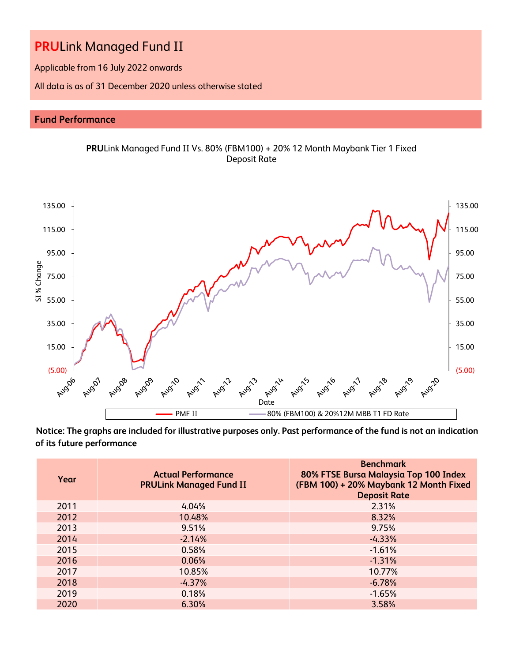Applicable from 16 July 2022 onwards

All data is as of 31 December 2020 unless otherwise stated

## **Fund Performance**



**Notice: The graphs are included for illustrative purposes only. Past performance of the fund is not an indication of its future performance**

| Year | <b>Actual Performance</b><br><b>PRULink Managed Fund II</b> | <b>Benchmark</b><br>80% FTSE Bursa Malaysia Top 100 Index<br>(FBM 100) + 20% Maybank 12 Month Fixed<br><b>Deposit Rate</b> |
|------|-------------------------------------------------------------|----------------------------------------------------------------------------------------------------------------------------|
| 2011 | 4.04%                                                       | 2.31%                                                                                                                      |
| 2012 | 10.48%                                                      | 8.32%                                                                                                                      |
| 2013 | 9.51%                                                       | 9.75%                                                                                                                      |
| 2014 | $-2.14%$                                                    | $-4.33%$                                                                                                                   |
| 2015 | 0.58%                                                       | $-1.61%$                                                                                                                   |
| 2016 | 0.06%                                                       | $-1.31%$                                                                                                                   |
| 2017 | 10.85%                                                      | 10.77%                                                                                                                     |
| 2018 | $-4.37%$                                                    | $-6.78%$                                                                                                                   |
| 2019 | 0.18%                                                       | $-1.65%$                                                                                                                   |
| 2020 | 6.30%                                                       | 3.58%                                                                                                                      |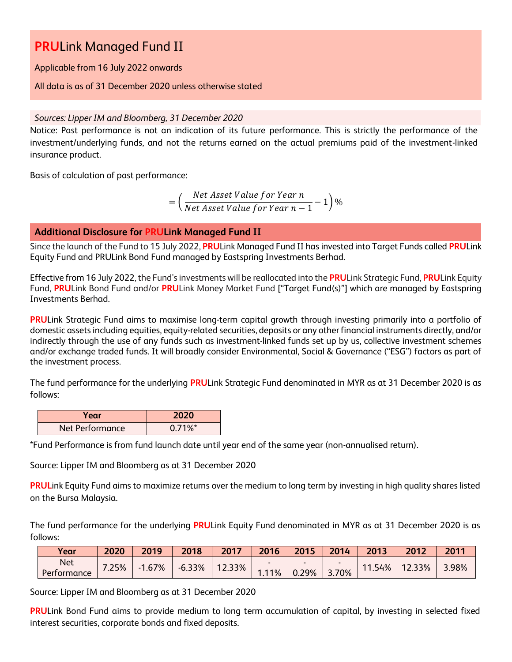Applicable from 16 July 2022 onwards

### All data is as of 31 December 2020 unless otherwise stated

## *Sources: Lipper IM and Bloomberg, 31 December 2020*

Notice: Past performance is not an indication of its future performance. This is strictly the performance of the investment/underlying funds, and not the returns earned on the actual premiums paid of the investment-linked insurance product.

Basis of calculation of past performance:

= ( Net Asset Value for Year n  $\frac{1}{\sqrt{1-\frac{1}{n}}}$  1)%<br>Net Asset Value for Year  $n-1$ 

## **Additional Disclosure for PRULink Managed Fund II**

Since the launch of the Fund to 15 July 2022, **PRU**Link Managed Fund II has invested into Target Funds called **PRU**Link Equity Fund and PRULink Bond Fund managed by Eastspring Investments Berhad.

Effective from 16 July 2022, the Fund's investments will be reallocated into the **PRU**Link Strategic Fund, **PRU**Link Equity Fund, **PRU**Link Bond Fund and/or **PRU**Link Money Market Fund ["Target Fund(s)"] which are managed by Eastspring Investments Berhad.

**PRU**Link Strategic Fund aims to maximise long-term capital growth through investing primarily into a portfolio of domestic assets including equities, equity-related securities, deposits or any other financial instruments directly, and/or indirectly through the use of any funds such as investment-linked funds set up by us, collective investment schemes and/or exchange traded funds. It will broadly consider Environmental, Social & Governance ("ESG") factors as part of the investment process.

The fund performance for the underlying **PRU**Link Strategic Fund denominated in MYR as at 31 December 2020 is as follows:

| Year            | 2020       |  |  |
|-----------------|------------|--|--|
| Net Performance | $0.71\%$ * |  |  |

\*Fund Performance is from fund launch date until year end of the same year (non-annualised return).

Source: Lipper IM and Bloomberg as at 31 December 2020

**PRUL**ink Equity Fund aims to maximize returns over the medium to long term by investing in high quality shares listed on the Bursa Malaysia.

The fund performance for the underlying **PRU**Link Equity Fund denominated in MYR as at 31 December 2020 is as follows:

| Year                      | 2020  | 2019     | 2018     | 2017   | 2016 | 2015  | 2014  | 2013   | 2012   | 2011  |
|---------------------------|-------|----------|----------|--------|------|-------|-------|--------|--------|-------|
| <b>Net</b><br>Performance | 7.25% | $-1.67%$ | $-6.33%$ | 12.33% | .11% | 0.29% | 3.70% | 11.54% | 12.33% | 3.98% |

Source: Lipper IM and Bloomberg as at 31 December 2020

**PRU**Link Bond Fund aims to provide medium to long term accumulation of capital, by investing in selected fixed interest securities, corporate bonds and fixed deposits.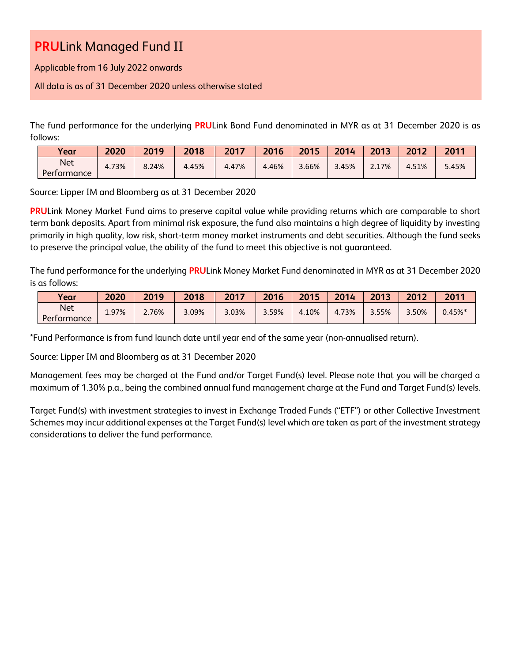Applicable from 16 July 2022 onwards

All data is as of 31 December 2020 unless otherwise stated

The fund performance for the underlying **PRU**Link Bond Fund denominated in MYR as at 31 December 2020 is as follows:

| Vear                      | 2020  | 2019  | 2018  | 2017  | 2016  | 2015  | 2014  | 2013  | 2012  | 2011  |
|---------------------------|-------|-------|-------|-------|-------|-------|-------|-------|-------|-------|
| <b>Net</b><br>Performance | 4.73% | 8.24% | 4.45% | 4.47% | 4.46% | 3.66% | 3.45% | 2.17% | 4.51% | 5.45% |

Source: Lipper IM and Bloomberg as at 31 December 2020

**PRU**Link Money Market Fund aims to preserve capital value while providing returns which are comparable to short term bank deposits. Apart from minimal risk exposure, the fund also maintains a high degree of liquidity by investing primarily in high quality, low risk, short-term money market instruments and debt securities. Although the fund seeks to preserve the principal value, the ability of the fund to meet this objective is not guaranteed.

The fund performance for the underlying **PRU**Link Money Market Fund denominated in MYR as at 31 December 2020 is as follows:

| Year                      | 2020  | 2019  | 2018     | 2017  | 2016  | 2015  | 2014  | 2013  | 2012  | 2011          |
|---------------------------|-------|-------|----------|-------|-------|-------|-------|-------|-------|---------------|
| <b>Net</b><br>Performance | 1.97% | 2.76% | $3.09\%$ | 3.03% | 3.59% | 4.10% | 4.73% | 3.55% | 3.50% | $0.45\%$ $^*$ |

\*Fund Performance is from fund launch date until year end of the same year (non-annualised return).

Source: Lipper IM and Bloomberg as at 31 December 2020

Management fees may be charged at the Fund and/or Target Fund(s) level. Please note that you will be charged a maximum of 1.30% p.a., being the combined annual fund management charge at the Fund and Target Fund(s) levels.

Target Fund(s) with investment strategies to invest in Exchange Traded Funds ("ETF") or other Collective Investment Schemes may incur additional expenses at the Target Fund(s) level which are taken as part of the investment strategy considerations to deliver the fund performance.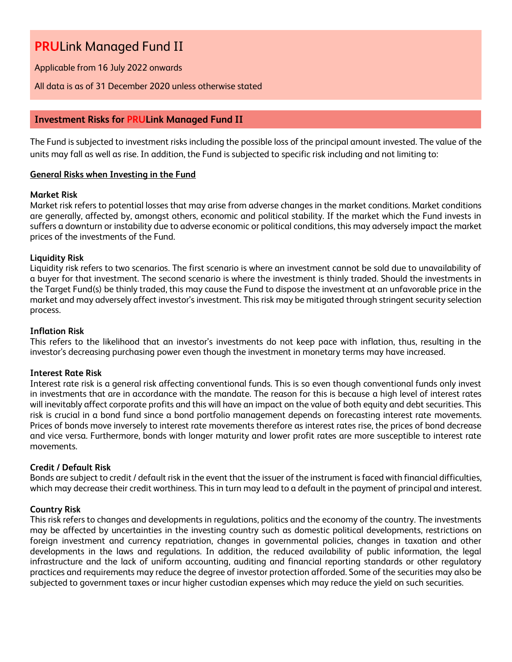Applicable from 16 July 2022 onwards

#### All data is as of 31 December 2020 unless otherwise stated

### **Investment Risks for PRULink Managed Fund II**

The Fund is subjected to investment risks including the possible loss of the principal amount invested. The value of the units may fall as well as rise. In addition, the Fund is subjected to specific risk including and not limiting to:

#### **General Risks when Investing in the Fund**

#### **Market Risk**

Market risk refers to potential losses that may arise from adverse changes in the market conditions. Market conditions are generally, affected by, amongst others, economic and political stability. If the market which the Fund invests in suffers a downturn or instability due to adverse economic or political conditions, this may adversely impact the market prices of the investments of the Fund.

#### **Liquidity Risk**

Liquidity risk refers to two scenarios. The first scenario is where an investment cannot be sold due to unavailability of a buyer for that investment. The second scenario is where the investment is thinly traded. Should the investments in the Target Fund(s) be thinly traded, this may cause the Fund to dispose the investment at an unfavorable price in the market and may adversely affect investor's investment. This risk may be mitigated through stringent security selection process.

#### **Inflation Risk**

This refers to the likelihood that an investor's investments do not keep pace with inflation, thus, resulting in the investor's decreasing purchasing power even though the investment in monetary terms may have increased.

#### **Interest Rate Risk**

Interest rate risk is a general risk affecting conventional funds. This is so even though conventional funds only invest in investments that are in accordance with the mandate. The reason for this is because a high level of interest rates will inevitably affect corporate profits and this will have an impact on the value of both equity and debt securities. This risk is crucial in a bond fund since a bond portfolio management depends on forecasting interest rate movements. Prices of bonds move inversely to interest rate movements therefore as interest rates rise, the prices of bond decrease and vice versa. Furthermore, bonds with longer maturity and lower profit rates are more susceptible to interest rate movements.

#### **Credit / Default Risk**

Bonds are subject to credit / default risk in the event that the issuer of the instrument is faced with financial difficulties, which may decrease their credit worthiness. This in turn may lead to a default in the payment of principal and interest.

### **Country Risk**

This risk refers to changes and developments in regulations, politics and the economy of the country. The investments may be affected by uncertainties in the investing country such as domestic political developments, restrictions on foreign investment and currency repatriation, changes in governmental policies, changes in taxation and other developments in the laws and regulations. In addition, the reduced availability of public information, the legal infrastructure and the lack of uniform accounting, auditing and financial reporting standards or other regulatory practices and requirements may reduce the degree of investor protection afforded. Some of the securities may also be subjected to government taxes or incur higher custodian expenses which may reduce the yield on such securities.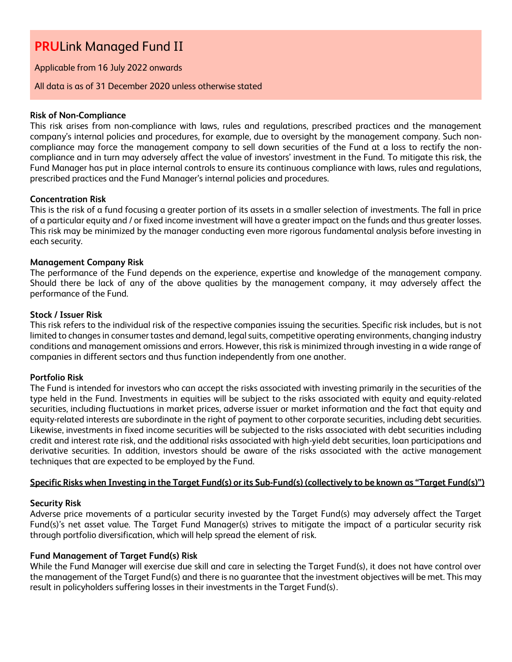Applicable from 16 July 2022 onwards

#### All data is as of 31 December 2020 unless otherwise stated

#### **Risk of Non-Compliance**

This risk arises from non-compliance with laws, rules and regulations, prescribed practices and the management company's internal policies and procedures, for example, due to oversight by the management company. Such noncompliance may force the management company to sell down securities of the Fund at a loss to rectify the noncompliance and in turn may adversely affect the value of investors' investment in the Fund. To mitigate this risk, the Fund Manager has put in place internal controls to ensure its continuous compliance with laws, rules and regulations, prescribed practices and the Fund Manager's internal policies and procedures.

#### **Concentration Risk**

This is the risk of a fund focusing a greater portion of its assets in a smaller selection of investments. The fall in price of a particular equity and / or fixed income investment will have a greater impact on the funds and thus greater losses. This risk may be minimized by the manager conducting even more rigorous fundamental analysis before investing in each security.

### **Management Company Risk**

The performance of the Fund depends on the experience, expertise and knowledge of the management company. Should there be lack of any of the above qualities by the management company, it may adversely affect the performance of the Fund.

#### **Stock / Issuer Risk**

This risk refers to the individual risk of the respective companies issuing the securities. Specific risk includes, but is not limited to changes in consumer tastes and demand, legal suits, competitive operating environments, changing industry conditions and management omissions and errors. However, this risk is minimized through investing in a wide range of companies in different sectors and thus function independently from one another.

#### **Portfolio Risk**

The Fund is intended for investors who can accept the risks associated with investing primarily in the securities of the type held in the Fund. Investments in equities will be subject to the risks associated with equity and equity-related securities, including fluctuations in market prices, adverse issuer or market information and the fact that equity and equity-related interests are subordinate in the right of payment to other corporate securities, including debt securities. Likewise, investments in fixed income securities will be subjected to the risks associated with debt securities including credit and interest rate risk, and the additional risks associated with high-yield debt securities, loan participations and derivative securities. In addition, investors should be aware of the risks associated with the active management techniques that are expected to be employed by the Fund.

### **Specific Risks when Investing in the Target Fund(s) or its Sub-Fund(s) (collectively to be known as "Target Fund(s)")**

#### **Security Risk**

Adverse price movements of a particular security invested by the Target Fund(s) may adversely affect the Target Fund(s)'s net asset value. The Target Fund Manager(s) strives to mitigate the impact of a particular security risk through portfolio diversification, which will help spread the element of risk.

#### **Fund Management of Target Fund(s) Risk**

While the Fund Manager will exercise due skill and care in selecting the Target Fund(s), it does not have control over the management of the Target Fund(s) and there is no guarantee that the investment objectives will be met. This may result in policyholders suffering losses in their investments in the Target Fund(s).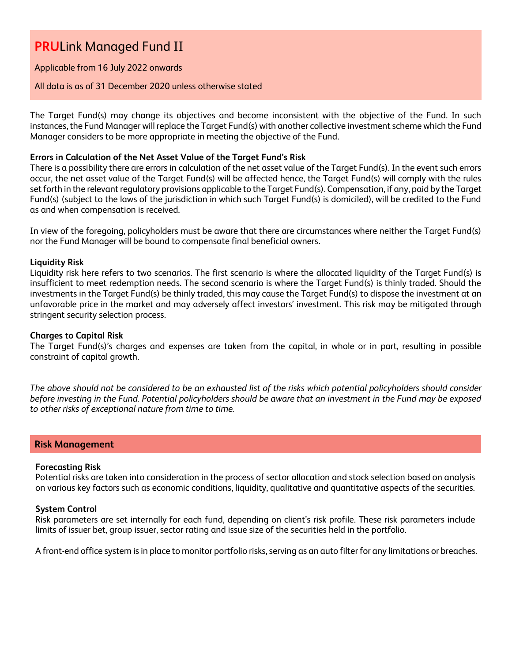Applicable from 16 July 2022 onwards

#### All data is as of 31 December 2020 unless otherwise stated

The Target Fund(s) may change its objectives and become inconsistent with the objective of the Fund. In such instances, the Fund Manager will replace the Target Fund(s) with another collective investment scheme which the Fund Manager considers to be more appropriate in meeting the objective of the Fund.

#### **Errors in Calculation of the Net Asset Value of the Target Fund's Risk**

There is a possibility there are errors in calculation of the net asset value of the Target Fund(s). In the event such errors occur, the net asset value of the Target Fund(s) will be affected hence, the Target Fund(s) will comply with the rules set forth in the relevant regulatory provisions applicable to the Target Fund(s). Compensation, if any, paid by the Target Fund(s) (subject to the laws of the jurisdiction in which such Target Fund(s) is domiciled), will be credited to the Fund as and when compensation is received.

In view of the foregoing, policyholders must be aware that there are circumstances where neither the Target Fund(s) nor the Fund Manager will be bound to compensate final beneficial owners.

#### **Liquidity Risk**

Liquidity risk here refers to two scenarios. The first scenario is where the allocated liquidity of the Target Fund(s) is insufficient to meet redemption needs. The second scenario is where the Target Fund(s) is thinly traded. Should the investments in the Target Fund(s) be thinly traded, this may cause the Target Fund(s) to dispose the investment at an unfavorable price in the market and may adversely affect investors' investment. This risk may be mitigated through stringent security selection process.

#### **Charges to Capital Risk**

The Target Fund(s)'s charges and expenses are taken from the capital, in whole or in part, resulting in possible constraint of capital growth.

*The above should not be considered to be an exhausted list of the risks which potential policyholders should consider before investing in the Fund. Potential policyholders should be aware that an investment in the Fund may be exposed to other risks of exceptional nature from time to time.*

### **Risk Management**

#### **Forecasting Risk**

Potential risks are taken into consideration in the process of sector allocation and stock selection based on analysis on various key factors such as economic conditions, liquidity, qualitative and quantitative aspects of the securities.

#### **System Control**

Risk parameters are set internally for each fund, depending on client's risk profile. These risk parameters include limits of issuer bet, group issuer, sector rating and issue size of the securities held in the portfolio.

A front-end office system is in place to monitor portfolio risks, serving as an auto filter for any limitations or breaches.